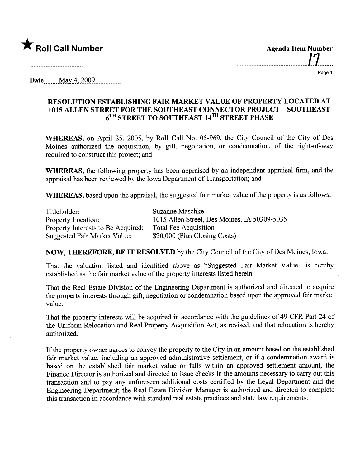

..........................................1.1........ Page 1

**Date** May 4, 2009

## RESOLUTION ESTABLISHING FAIR MARKET VALUE OF PROPERTY LOCATED AT 1015 ALLEN STREET FOR THE SOUTHEAST CONNECTOR PROJECT - SOUTHEAST  $6^{TH}$  STREET TO SOUTHEAST 14<sup>TH</sup> STREET PHASE

WHEREAS, on April 25, 2005, by Roll Call No. 05-969, the City Council of the City of Des Moines authorized the acquisition, by gift, negotiation, or condemnation, of the right-of-way required to construct this project; and

WHEREAS, the following property has been appraised by an independent appraisal firm, and the appraisal has been reviewed by the Iowa Department of Transportation; and

WHEREAS, based upon the appraisal, the suggested fair market value of the property is as follows:

| Titleholder:                       | Suzanne Maschke                              |
|------------------------------------|----------------------------------------------|
| <b>Property Location:</b>          | 1015 Allen Street, Des Moines, IA 50309-5035 |
| Property Interests to Be Acquired: | <b>Total Fee Acquisition</b>                 |
| Suggested Fair Market Value:       | \$20,000 (Plus Closing Costs)                |

NOW, THEREFORE, BE IT RESOLVED by the City Council of the City of Des Moines, Iowa:

That the valuation listed and identified above as "Suggested Fair Market Value" is hereby established as the fair market value of the property interests listed herein.

That the Real Estate Division of the Engineering Department is authorized and directed to acquire the property interests through gift, negotiation or condemnation based upon the approved fair market value.

That the property interests will be acquired in accordance with the guidelines of 49 CFR Part 24 of the Uniform Relocation and Real Property Acquisition Act, as revised, and that relocation is hereby authorized.

If the property owner agrees to convey the property to the City in an amount based on the established fair market value, including an approved administrative settlement, or if a condemnation award is based on the established fair market value or falls within an approved settlement amount, the Finance Director is authorized and directed to issue checks in the amounts necessary to cary out this transaction and to pay any unforeseen additional costs certified by the Legal Department and the Engineering Department; the Real Estate Division Manager is authorized and directed to complete this transaction in accordance with standard real estate practices and state law requirements.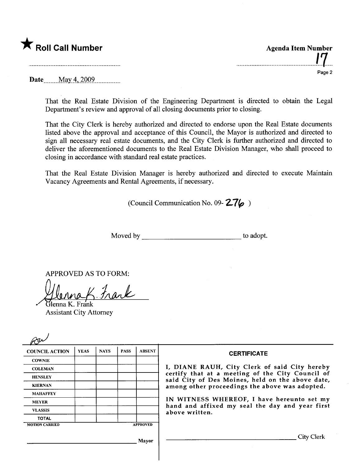

...............................................1.7... Page 2

Date <u>May 4</u>, 2009

That the Real Estate Division of the Engineering Department is directed to obtain the Legal Department's review and approval of all closing documents prior to closing.

That the City Clerk is hereby authorized and directed to endorse upon the Real Estate documents listed above the approval and acceptance of this Council, the Mayor is authorized and directed to sign all necessary real estate documents, and the City Clerk is further authorized and directed to deliver the aforementioned documents to the Real Estate Division Manager, who shall proceed to closing in accordance with standard real estate practices.

That the Real Estate Division Manager is hereby authorized and directed to execute Maintain Vacancy Agreements and Rental Agreements, if necessary.

(Council Communication No. 09- $276$ )

Moved by to adopt.

APPROVED AS TO FORM:<br>Ulenna K. Frank

flenna K. Frank Assistant City Attorney

| <b>COUNCIL ACTION</b> | <b>YEAS</b> | <b>NAYS</b> | <b>PASS</b> | <b>ABSENT</b>                                  | <b>CERTIFICATE</b>                                                                                   |
|-----------------------|-------------|-------------|-------------|------------------------------------------------|------------------------------------------------------------------------------------------------------|
| <b>COWNIE</b>         |             |             |             |                                                |                                                                                                      |
| <b>COLEMAN</b>        |             |             |             |                                                | I, DIANE RAUH, City Clerk of said City hereby                                                        |
| <b>HENSLEY</b>        |             |             |             |                                                | certify that at a meeting of the City Council of<br>said City of Des Moines, held on the above date, |
| <b>KIERNAN</b>        |             |             |             | among other proceedings the above was adopted. |                                                                                                      |
| <b>MAHAFFEY</b>       |             |             |             |                                                |                                                                                                      |
| <b>MEYER</b>          |             |             |             |                                                | IN WITNESS WHEREOF, I have hereunto set my                                                           |
| <b>VLASSIS</b>        |             |             |             |                                                | hand and affixed my seal the day and year first<br>above written.                                    |
| <b>TOTAL</b>          |             |             |             |                                                |                                                                                                      |
| <b>MOTION CARRIED</b> |             |             |             | <b>APPROVED</b>                                |                                                                                                      |
|                       |             |             |             | Mayor                                          | <b>City Clerk</b>                                                                                    |